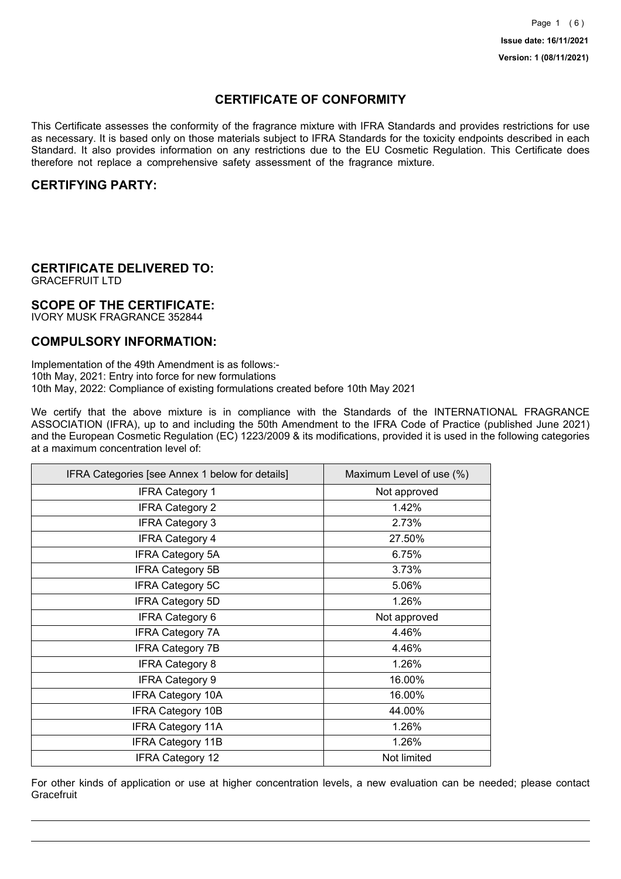## **CERTIFICATE OF CONFORMITY**

This Certificate assesses the conformity of the fragrance mixture with IFRA Standards and provides restrictions for use as necessary. It is based only on those materials subject to IFRA Standards for the toxicity endpoints described in each Standard. It also provides information on any restrictions due to the EU Cosmetic Regulation. This Certificate does therefore not replace a comprehensive safety assessment of the fragrance mixture.

### **CERTIFYING PARTY:**

## **CERTIFICATE DELIVERED TO:**

GRACEFRUIT LTD

### **SCOPE OF THE CERTIFICATE:**

IVORY MUSK FRAGRANCE 352844

### **COMPULSORY INFORMATION:**

Implementation of the 49th Amendment is as follows:- 10th May, 2021: Entry into force for new formulations 10th May, 2022: Compliance of existing formulations created before 10th May 2021

We certify that the above mixture is in compliance with the Standards of the INTERNATIONAL FRAGRANCE ASSOCIATION (IFRA), up to and including the 50th Amendment to the IFRA Code of Practice (published June 2021) and the European Cosmetic Regulation (EC) 1223/2009 & its modifications, provided it is used in the following categories at a maximum concentration level of:

| IFRA Categories [see Annex 1 below for details] | Maximum Level of use (%) |
|-------------------------------------------------|--------------------------|
| <b>IFRA Category 1</b>                          | Not approved             |
| <b>IFRA Category 2</b>                          | 1.42%                    |
| <b>IFRA Category 3</b>                          | 2.73%                    |
| <b>IFRA Category 4</b>                          | 27.50%                   |
| <b>IFRA Category 5A</b>                         | 6.75%                    |
| <b>IFRA Category 5B</b>                         | 3.73%                    |
| <b>IFRA Category 5C</b>                         | 5.06%                    |
| <b>IFRA Category 5D</b>                         | 1.26%                    |
| IFRA Category 6                                 | Not approved             |
| <b>IFRA Category 7A</b>                         | 4.46%                    |
| <b>IFRA Category 7B</b>                         | 4.46%                    |
| <b>IFRA Category 8</b>                          | 1.26%                    |
| <b>IFRA Category 9</b>                          | 16.00%                   |
| <b>IFRA Category 10A</b>                        | 16.00%                   |
| <b>IFRA Category 10B</b>                        | 44.00%                   |
| <b>IFRA Category 11A</b>                        | 1.26%                    |
| <b>IFRA Category 11B</b>                        | 1.26%                    |
| <b>IFRA Category 12</b>                         | Not limited              |

For other kinds of application or use at higher concentration levels, a new evaluation can be needed; please contact **Gracefruit**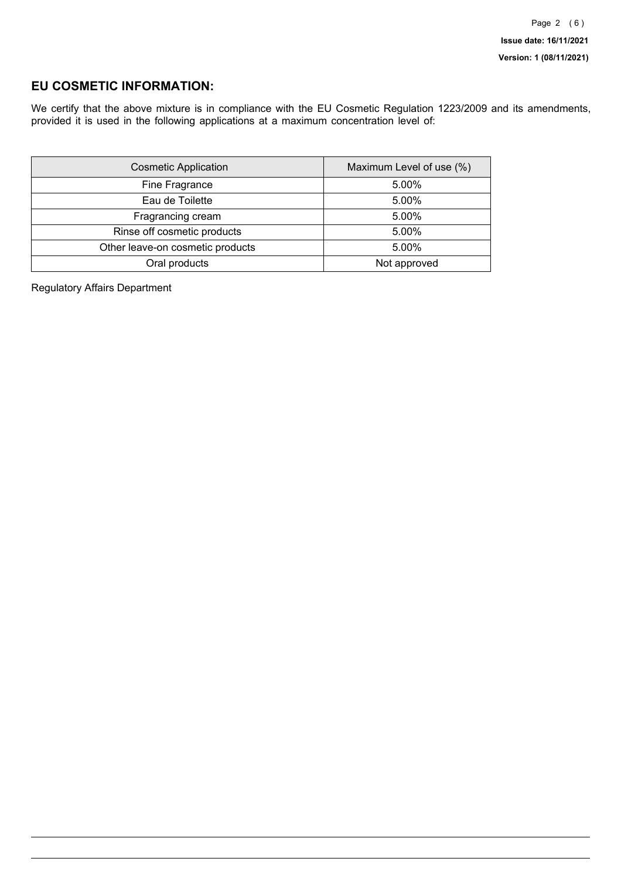## **EU COSMETIC INFORMATION:**

We certify that the above mixture is in compliance with the EU Cosmetic Regulation 1223/2009 and its amendments, provided it is used in the following applications at a maximum concentration level of:

| <b>Cosmetic Application</b>      | Maximum Level of use (%) |
|----------------------------------|--------------------------|
| Fine Fragrance                   | 5.00%                    |
| Eau de Toilette                  | 5.00%                    |
| Fragrancing cream                | 5.00%                    |
| Rinse off cosmetic products      | 5.00%                    |
| Other leave-on cosmetic products | 5.00%                    |
| Oral products                    | Not approved             |

Regulatory Affairs Department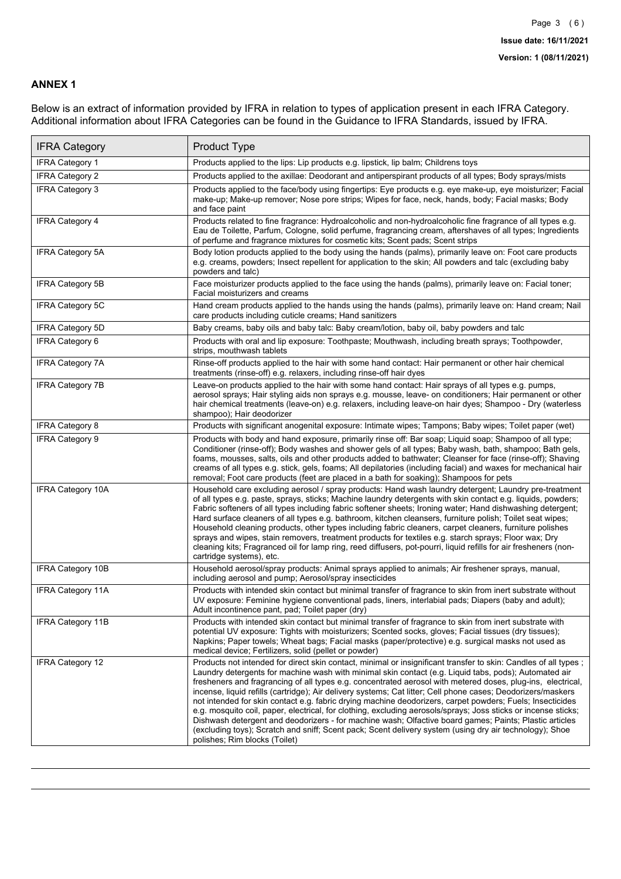### **ANNEX 1**

Below is an extract of information provided by IFRA in relation to types of application present in each IFRA Category. Additional information about IFRA Categories can be found in the Guidance to IFRA Standards, issued by IFRA.

| <b>IFRA Category</b>     | Product Type                                                                                                                                                                                                                                                                                                                                                                                                                                                                                                                                                                                                                                                                                                                                                                                                                                                                                                                                 |
|--------------------------|----------------------------------------------------------------------------------------------------------------------------------------------------------------------------------------------------------------------------------------------------------------------------------------------------------------------------------------------------------------------------------------------------------------------------------------------------------------------------------------------------------------------------------------------------------------------------------------------------------------------------------------------------------------------------------------------------------------------------------------------------------------------------------------------------------------------------------------------------------------------------------------------------------------------------------------------|
| IFRA Category 1          | Products applied to the lips: Lip products e.g. lipstick, lip balm; Childrens toys                                                                                                                                                                                                                                                                                                                                                                                                                                                                                                                                                                                                                                                                                                                                                                                                                                                           |
| <b>IFRA Category 2</b>   | Products applied to the axillae: Deodorant and antiperspirant products of all types; Body sprays/mists                                                                                                                                                                                                                                                                                                                                                                                                                                                                                                                                                                                                                                                                                                                                                                                                                                       |
| <b>IFRA Category 3</b>   | Products applied to the face/body using fingertips: Eye products e.g. eye make-up, eye moisturizer; Facial<br>make-up; Make-up remover; Nose pore strips; Wipes for face, neck, hands, body; Facial masks; Body<br>and face paint                                                                                                                                                                                                                                                                                                                                                                                                                                                                                                                                                                                                                                                                                                            |
| <b>IFRA Category 4</b>   | Products related to fine fragrance: Hydroalcoholic and non-hydroalcoholic fine fragrance of all types e.g.<br>Eau de Toilette, Parfum, Cologne, solid perfume, fragrancing cream, aftershaves of all types; Ingredients<br>of perfume and fragrance mixtures for cosmetic kits; Scent pads; Scent strips                                                                                                                                                                                                                                                                                                                                                                                                                                                                                                                                                                                                                                     |
| <b>IFRA Category 5A</b>  | Body lotion products applied to the body using the hands (palms), primarily leave on: Foot care products<br>e.g. creams, powders; Insect repellent for application to the skin; All powders and talc (excluding baby<br>powders and talc)                                                                                                                                                                                                                                                                                                                                                                                                                                                                                                                                                                                                                                                                                                    |
| IFRA Category 5B         | Face moisturizer products applied to the face using the hands (palms), primarily leave on: Facial toner;<br>Facial moisturizers and creams                                                                                                                                                                                                                                                                                                                                                                                                                                                                                                                                                                                                                                                                                                                                                                                                   |
| <b>IFRA Category 5C</b>  | Hand cream products applied to the hands using the hands (palms), primarily leave on: Hand cream; Nail<br>care products including cuticle creams; Hand sanitizers                                                                                                                                                                                                                                                                                                                                                                                                                                                                                                                                                                                                                                                                                                                                                                            |
| <b>IFRA Category 5D</b>  | Baby creams, baby oils and baby talc: Baby cream/lotion, baby oil, baby powders and talc                                                                                                                                                                                                                                                                                                                                                                                                                                                                                                                                                                                                                                                                                                                                                                                                                                                     |
| IFRA Category 6          | Products with oral and lip exposure: Toothpaste; Mouthwash, including breath sprays; Toothpowder,<br>strips, mouthwash tablets                                                                                                                                                                                                                                                                                                                                                                                                                                                                                                                                                                                                                                                                                                                                                                                                               |
| <b>IFRA Category 7A</b>  | Rinse-off products applied to the hair with some hand contact: Hair permanent or other hair chemical<br>treatments (rinse-off) e.g. relaxers, including rinse-off hair dyes                                                                                                                                                                                                                                                                                                                                                                                                                                                                                                                                                                                                                                                                                                                                                                  |
| <b>IFRA Category 7B</b>  | Leave-on products applied to the hair with some hand contact: Hair sprays of all types e.g. pumps,<br>aerosol sprays; Hair styling aids non sprays e.g. mousse, leave- on conditioners; Hair permanent or other<br>hair chemical treatments (leave-on) e.g. relaxers, including leave-on hair dyes; Shampoo - Dry (waterless<br>shampoo); Hair deodorizer                                                                                                                                                                                                                                                                                                                                                                                                                                                                                                                                                                                    |
| <b>IFRA Category 8</b>   | Products with significant anogenital exposure: Intimate wipes; Tampons; Baby wipes; Toilet paper (wet)                                                                                                                                                                                                                                                                                                                                                                                                                                                                                                                                                                                                                                                                                                                                                                                                                                       |
| IFRA Category 9          | Products with body and hand exposure, primarily rinse off: Bar soap; Liquid soap; Shampoo of all type;<br>Conditioner (rinse-off); Body washes and shower gels of all types; Baby wash, bath, shampoo; Bath gels,<br>foams, mousses, salts, oils and other products added to bathwater; Cleanser for face (rinse-off); Shaving<br>creams of all types e.g. stick, gels, foams; All depilatories (including facial) and waxes for mechanical hair<br>removal; Foot care products (feet are placed in a bath for soaking); Shampoos for pets                                                                                                                                                                                                                                                                                                                                                                                                   |
| <b>IFRA Category 10A</b> | Household care excluding aerosol / spray products: Hand wash laundry detergent; Laundry pre-treatment<br>of all types e.g. paste, sprays, sticks; Machine laundry detergents with skin contact e.g. liquids, powders;<br>Fabric softeners of all types including fabric softener sheets; Ironing water; Hand dishwashing detergent;<br>Hard surface cleaners of all types e.g. bathroom, kitchen cleansers, furniture polish; Toilet seat wipes;<br>Household cleaning products, other types including fabric cleaners, carpet cleaners, furniture polishes<br>sprays and wipes, stain removers, treatment products for textiles e.g. starch sprays; Floor wax; Dry<br>cleaning kits; Fragranced oil for lamp ring, reed diffusers, pot-pourri, liquid refills for air fresheners (non-<br>cartridge systems), etc.                                                                                                                          |
| <b>IFRA Category 10B</b> | Household aerosol/spray products: Animal sprays applied to animals; Air freshener sprays, manual,<br>including aerosol and pump; Aerosol/spray insecticides                                                                                                                                                                                                                                                                                                                                                                                                                                                                                                                                                                                                                                                                                                                                                                                  |
| <b>IFRA Category 11A</b> | Products with intended skin contact but minimal transfer of fragrance to skin from inert substrate without<br>UV exposure: Feminine hygiene conventional pads, liners, interlabial pads; Diapers (baby and adult);<br>Adult incontinence pant, pad; Toilet paper (dry)                                                                                                                                                                                                                                                                                                                                                                                                                                                                                                                                                                                                                                                                       |
| <b>IFRA Category 11B</b> | Products with intended skin contact but minimal transfer of fragrance to skin from inert substrate with<br>potential UV exposure: Tights with moisturizers; Scented socks, gloves; Facial tissues (dry tissues);<br>Napkins; Paper towels; Wheat bags; Facial masks (paper/protective) e.g. surgical masks not used as<br>medical device; Fertilizers, solid (pellet or powder)                                                                                                                                                                                                                                                                                                                                                                                                                                                                                                                                                              |
| <b>IFRA Category 12</b>  | Products not intended for direct skin contact, minimal or insignificant transfer to skin: Candles of all types;<br>Laundry detergents for machine wash with minimal skin contact (e.g. Liquid tabs, pods); Automated air<br>fresheners and fragrancing of all types e.g. concentrated aerosol with metered doses, plug-ins, electrical,<br>incense, liquid refills (cartridge); Air delivery systems; Cat litter; Cell phone cases; Deodorizers/maskers<br>not intended for skin contact e.g. fabric drying machine deodorizers, carpet powders; Fuels; Insecticides<br>e.g. mosquito coil, paper, electrical, for clothing, excluding aerosols/sprays; Joss sticks or incense sticks;<br>Dishwash detergent and deodorizers - for machine wash; Olfactive board games; Paints; Plastic articles<br>(excluding toys); Scratch and sniff; Scent pack; Scent delivery system (using dry air technology); Shoe<br>polishes; Rim blocks (Toilet) |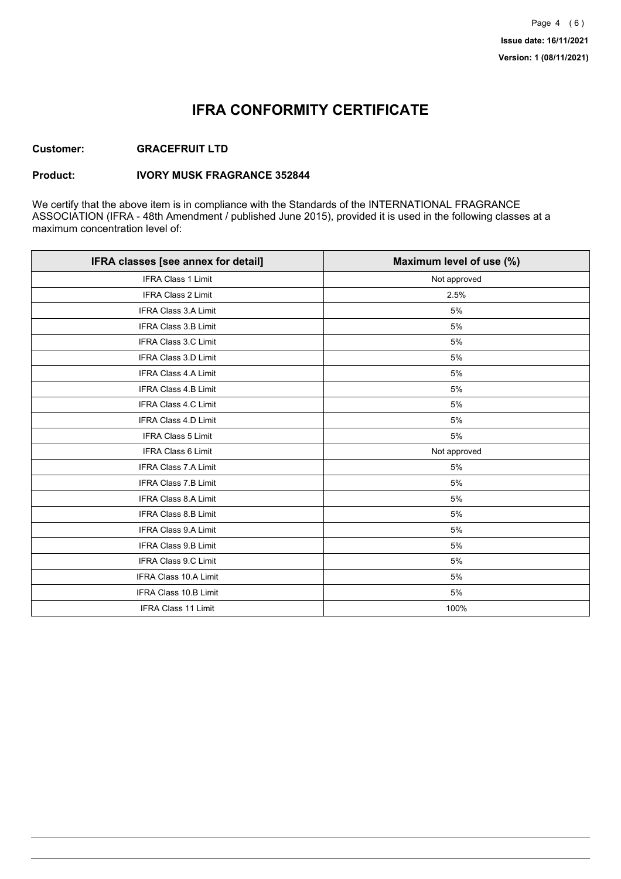## **IFRA CONFORMITY CERTIFICATE**

### **Customer: GRACEFRUIT LTD**

#### **Product: IVORY MUSK FRAGRANCE 352844**

We certify that the above item is in compliance with the Standards of the INTERNATIONAL FRAGRANCE ASSOCIATION (IFRA - 48th Amendment / published June 2015), provided it is used in the following classes at a maximum concentration level of:

| IFRA classes [see annex for detail] | Maximum level of use (%) |
|-------------------------------------|--------------------------|
| <b>IFRA Class 1 Limit</b>           | Not approved             |
| IFRA Class 2 Limit                  | 2.5%                     |
| <b>IFRA Class 3.A Limit</b>         | 5%                       |
| <b>IFRA Class 3.B Limit</b>         | 5%                       |
| IFRA Class 3.C Limit                | 5%                       |
| <b>IFRA Class 3.D Limit</b>         | 5%                       |
| IFRA Class 4.A Limit                | 5%                       |
| <b>IFRA Class 4.B Limit</b>         | 5%                       |
| <b>IFRA Class 4.C Limit</b>         | 5%                       |
| IFRA Class 4.D Limit                | 5%                       |
| <b>IFRA Class 5 Limit</b>           | 5%                       |
| <b>IFRA Class 6 Limit</b>           | Not approved             |
| <b>IFRA Class 7.A Limit</b>         | 5%                       |
| <b>IFRA Class 7.B Limit</b>         | 5%                       |
| IFRA Class 8.A Limit                | 5%                       |
| <b>IFRA Class 8.B Limit</b>         | 5%                       |
| <b>IFRA Class 9.A Limit</b>         | 5%                       |
| <b>IFRA Class 9.B Limit</b>         | 5%                       |
| IFRA Class 9.C Limit                | 5%                       |
| IFRA Class 10.A Limit               | 5%                       |
| <b>IFRA Class 10.B Limit</b>        | 5%                       |
| IFRA Class 11 Limit                 | 100%                     |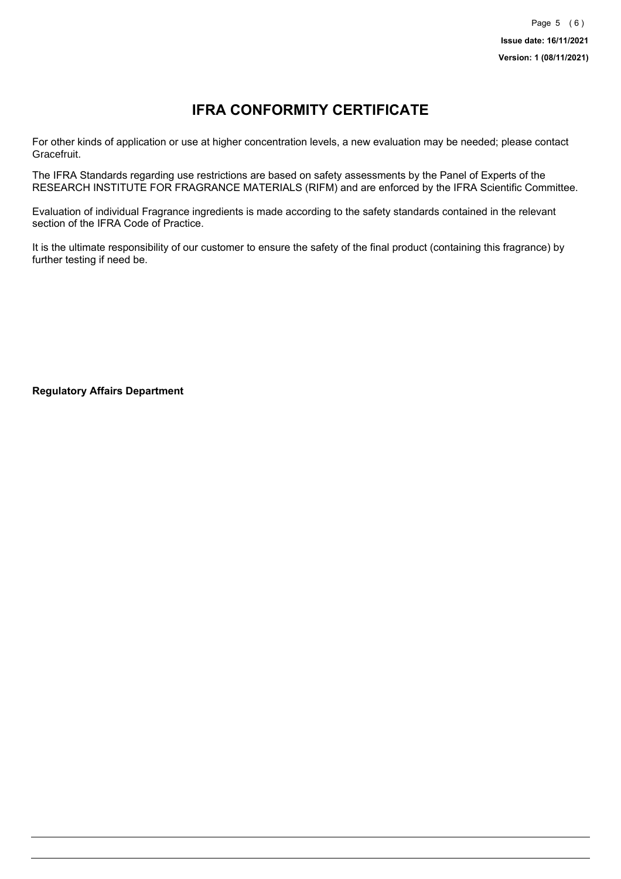# **IFRA CONFORMITY CERTIFICATE**

For other kinds of application or use at higher concentration levels, a new evaluation may be needed; please contact Gracefruit.

The IFRA Standards regarding use restrictions are based on safety assessments by the Panel of Experts of the RESEARCH INSTITUTE FOR FRAGRANCE MATERIALS (RIFM) and are enforced by the IFRA Scientific Committee.

Evaluation of individual Fragrance ingredients is made according to the safety standards contained in the relevant section of the IFRA Code of Practice.

It is the ultimate responsibility of our customer to ensure the safety of the final product (containing this fragrance) by further testing if need be.

**Regulatory Affairs Department**